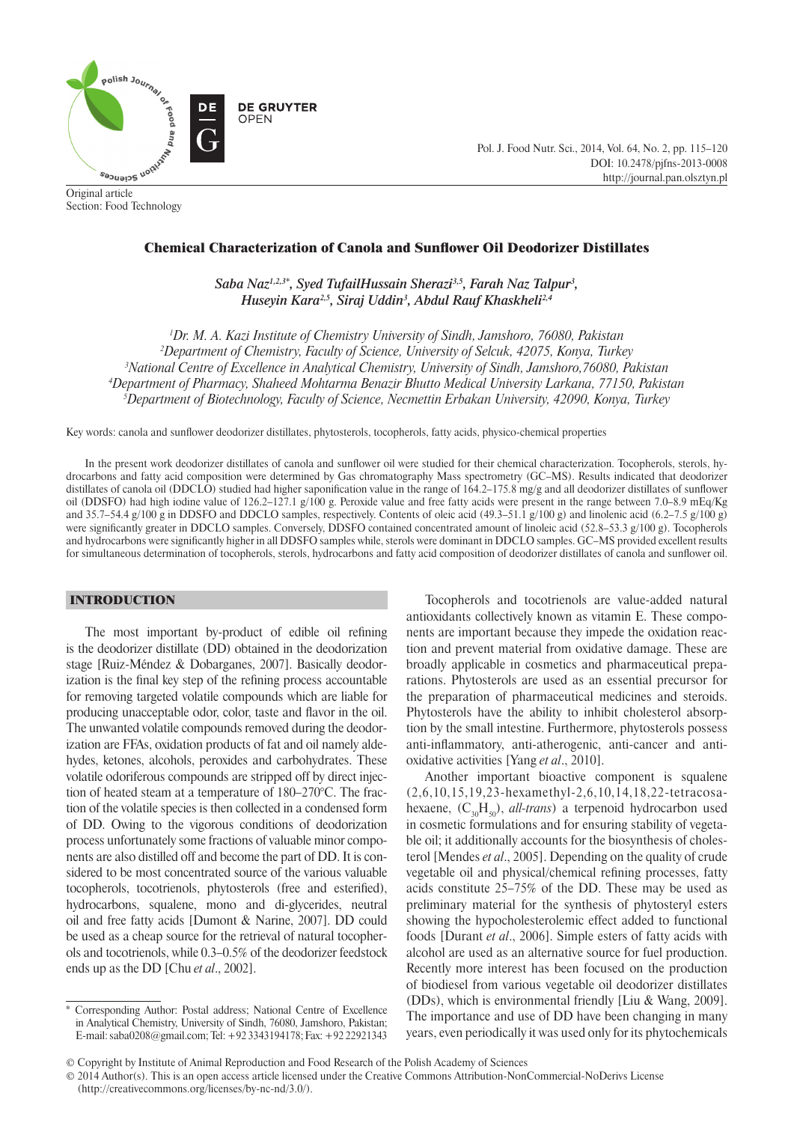

Original article Section: Food Technology Pol. J. Food Nutr. Sci., 2014, Vol. 64, No. 2, pp. 115–120 DOI: 10.2478/pjfns-2013-0008 http://journal.pan.olsztyn.pl

# **Chemical Characterization of Canola and Sunflower Oil Deodorizer Distillates**

Saba Naz<sup>1,2,3\*</sup>, Syed TufailHussain Sherazi<sup>3,5</sup>, Farah Naz Talpur<sup>3</sup>, *Huseyin Kara2,5, Siraj Uddin3 , Abdul Rauf Khaskheli2,4*

 *Dr. M. A. Kazi Institute of Chemistry University of Sindh, Jamshoro, 76080, Pakistan Department of Chemistry, Faculty of Science, University of Selcuk, 42075, Konya, Turkey National Centre of Excellence in Analytical Chemistry, University of Sindh, Jamshoro,76080, Pakistan Department of Pharmacy, Shaheed Mohtarma Benazir Bhutto Medical University Larkana, 77150, Pakistan Department of Biotechnology, Faculty of Science, Necmettin Erbakan University, 42090, Konya, Turkey*

Key words: canola and sunflower deodorizer distillates, phytosterols, tocopherols, fatty acids, physico-chemical properties

In the present work deodorizer distillates of canola and sunflower oil were studied for their chemical characterization. Tocopherols, sterols, hydrocarbons and fatty acid composition were determined by Gas chromatography Mass spectrometry (GC–MS). Results indicated that deodorizer distillates of canola oil (DDCLO) studied had higher saponification value in the range of 164.2–175.8 mg/g and all deodorizer distillates of sunflower oil (DDSFO) had high iodine value of 126.2–127.1 g/100 g. Peroxide value and free fatty acids were present in the range between 7.0–8.9 mEq/Kg and  $35.7-54.4$  g/100 g in DDSFO and DDCLO samples, respectively. Contents of oleic acid  $(49.3-51.1$  g/100 g) and linolenic acid  $(6.2-7.5 \text{ g}/100 \text{ g})$ were significantly greater in DDCLO samples. Conversely, DDSFO contained concentrated amount of linoleic acid (52.8–53.3 g/100 g). Tocopherols and hydrocarbons were significantly higher in all DDSFO samples while, sterols were dominant in DDCLO samples. GC-MS provided excellent results for simultaneous determination of tocopherols, sterols, hydrocarbons and fatty acid composition of deodorizer distillates of canola and sunflower oil.

## INTRODUCTION

The most important by-product of edible oil refining is the deodorizer distillate (DD) obtained in the deodorization stage [Ruiz-Méndez & Dobarganes, 2007]. Basically deodorization is the final key step of the refining process accountable for removing targeted volatile compounds which are liable for producing unacceptable odor, color, taste and flavor in the oil. The unwanted volatile compounds removed during the deodorization are FFAs, oxidation products of fat and oil namely aldehydes, ketones, alcohols, peroxides and carbohydrates. These volatile odoriferous compounds are stripped off by direct injection of heated steam at a temperature of 180–270°C. The fraction of the volatile species is then collected in a condensed form of DD. Owing to the vigorous conditions of deodorization process unfortunately some fractions of valuable minor components are also distilled off and become the part of DD. It is considered to be most concentrated source of the various valuable tocopherols, tocotrienols, phytosterols (free and esterified), hydrocarbons, squalene, mono and di-glycerides, neutral oil and free fatty acids [Dumont & Narine, 2007]. DD could be used as a cheap source for the retrieval of natural tocopherols and tocotrienols, while 0.3–0.5% of the deodorizer feedstock ends up as the DD [Chu *et al*., 2002].

Tocopherols and tocotrienols are value-added natural antioxidants collectively known as vitamin E. These components are important because they impede the oxidation reaction and prevent material from oxidative damage. These are broadly applicable in cosmetics and pharmaceutical preparations. Phytosterols are used as an essential precursor for the preparation of pharmaceutical medicines and steroids. Phytosterols have the ability to inhibit cholesterol absorption by the small intestine. Furthermore, phytosterols possess anti-inflammatory, anti-atherogenic, anti-cancer and antioxidative activities [Yang *et al*., 2010].

Another important bioactive component is squalene (2,6,10,15,19,23-hexamethyl-2,6,10,14,18,22-tetracosahexaene,  $(C_{30}H_{50})$ , *all-trans*) a terpenoid hydrocarbon used in cosmetic formulations and for ensuring stability of vegetable oil; it additionally accounts for the biosynthesis of cholesterol [Mendes *et al*., 2005]. Depending on the quality of crude vegetable oil and physical/chemical refining processes, fatty acids constitute 25–75% of the DD. These may be used as preliminary material for the synthesis of phytosteryl esters showing the hypocholesterolemic effect added to functional foods [Durant *et al*., 2006]. Simple esters of fatty acids with alcohol are used as an alternative source for fuel production. Recently more interest has been focused on the production of biodiesel from various vegetable oil deodorizer distillates (DDs), which is environmental friendly [Liu & Wang, 2009]. The importance and use of DD have been changing in many years, even periodically it was used only for its phytochemicals

<sup>\*</sup> Corresponding Author: Postal address; National Centre of Excellence in Analytical Chemistry, University of Sindh, 76080, Jamshoro, Pakistan; E-mail: saba0208@gmail.com; Tel: +92 3343194178; Fax: +92 22921343

<sup>©</sup> Copyright by Institute of Animal Reproduction and Food Research of the Polish Academy of Sciences

<sup>© 2014</sup> Author(s). This is an open access article licensed under the Creative Commons Attribution-NonCommercial-NoDerivs License (http://creativecommons.org/licenses/by-nc-nd/3.0/).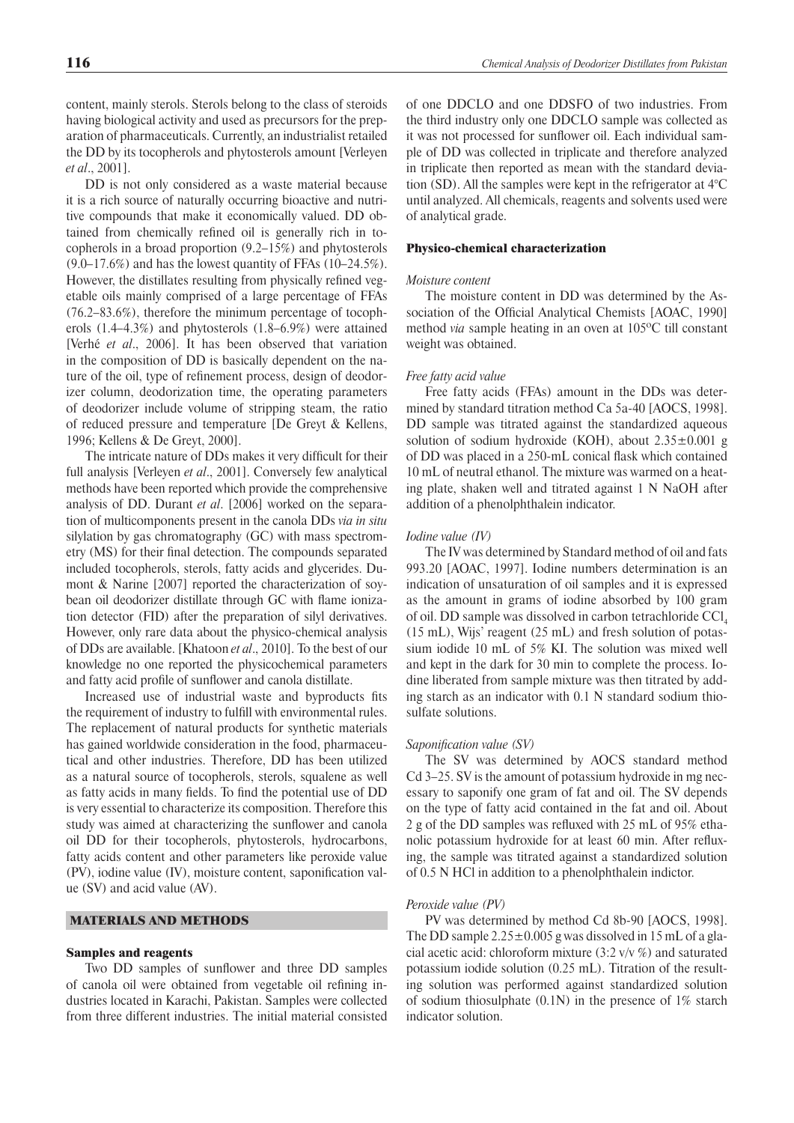content, mainly sterols. Sterols belong to the class of steroids having biological activity and used as precursors for the preparation of pharmaceuticals. Currently, an industrialist retailed the DD by its tocopherols and phytosterols amount [Verleyen *et al*., 2001].

DD is not only considered as a waste material because it is a rich source of naturally occurring bioactive and nutritive compounds that make it economically valued. DD obtained from chemically refined oil is generally rich in tocopherols in a broad proportion (9.2–15%) and phytosterols  $(9.0-17.6%)$  and has the lowest quantity of FFAs  $(10-24.5%)$ . However, the distillates resulting from physically refined vegetable oils mainly comprised of a large percentage of FFAs (76.2–83.6%), therefore the minimum percentage of tocopherols (1.4–4.3%) and phytosterols (1.8–6.9%) were attained [Verhé *et al*., 2006]. It has been observed that variation in the composition of DD is basically dependent on the nature of the oil, type of refinement process, design of deodorizer column, deodorization time, the operating parameters of deodorizer include volume of stripping steam, the ratio of reduced pressure and temperature [De Greyt & Kellens, 1996; Kellens & De Greyt, 2000].

The intricate nature of DDs makes it very difficult for their full analysis [Verleyen *et al*., 2001]. Conversely few analytical methods have been reported which provide the comprehensive analysis of DD. Durant *et al*. [2006] worked on the separation of multicomponents present in the canola DDs *via in situ* silylation by gas chromatography (GC) with mass spectrometry (MS) for their final detection. The compounds separated included tocopherols, sterols, fatty acids and glycerides. Dumont & Narine [2007] reported the characterization of soybean oil deodorizer distillate through GC with flame ionization detector (FID) after the preparation of silyl derivatives. However, only rare data about the physico-chemical analysis of DDs are available. [Khatoon *et al*., 2010]. To the best of our knowledge no one reported the physicochemical parameters and fatty acid profile of sunflower and canola distillate.

Increased use of industrial waste and byproducts fits the requirement of industry to fulfill with environmental rules. The replacement of natural products for synthetic materials has gained worldwide consideration in the food, pharmaceutical and other industries. Therefore, DD has been utilized as a natural source of tocopherols, sterols, squalene as well as fatty acids in many fields. To find the potential use of DD is very essential to characterize its composition. Therefore this study was aimed at characterizing the sunflower and canola oil DD for their tocopherols, phytosterols, hydrocarbons, fatty acids content and other parameters like peroxide value (PV), iodine value (IV), moisture content, saponification value (SV) and acid value (AV).

### MATERIALS AND METHODS

#### Samples and reagents

Two DD samples of sunflower and three DD samples of canola oil were obtained from vegetable oil refining industries located in Karachi, Pakistan. Samples were collected from three different industries. The initial material consisted of one DDCLO and one DDSFO of two industries. From the third industry only one DDCLO sample was collected as it was not processed for sunflower oil. Each individual sample of DD was collected in triplicate and therefore analyzed in triplicate then reported as mean with the standard deviation (SD). All the samples were kept in the refrigerator at 4°C until analyzed. All chemicals, reagents and solvents used were of analytical grade.

#### Physico-chemical characterization

### *Moisture content*

The moisture content in DD was determined by the Association of the Official Analytical Chemists [AOAC, 1990] method *via* sample heating in an oven at 105ºC till constant weight was obtained.

### *Free fatty acid value*

Free fatty acids (FFAs) amount in the DDs was determined by standard titration method Ca 5a-40 [AOCS, 1998]. DD sample was titrated against the standardized aqueous solution of sodium hydroxide (KOH), about  $2.35\pm0.001$  g of DD was placed in a 250-mL conical flask which contained 10 mL of neutral ethanol. The mixture was warmed on a heating plate, shaken well and titrated against 1 N NaOH after addition of a phenolphthalein indicator.

#### *Iodine value (IV)*

The IV was determined by Standard method of oil and fats 993.20 [AOAC, 1997]. Iodine numbers determination is an indication of unsaturation of oil samples and it is expressed as the amount in grams of iodine absorbed by 100 gram of oil. DD sample was dissolved in carbon tetrachloride  $\text{CCl}_4$ (15 mL), Wijs' reagent (25 mL) and fresh solution of potassium iodide 10 mL of 5% KI. The solution was mixed well and kept in the dark for 30 min to complete the process. Iodine liberated from sample mixture was then titrated by adding starch as an indicator with 0.1 N standard sodium thiosulfate solutions.

#### *Saponification value* (SV)

The SV was determined by AOCS standard method Cd 3–25. SV is the amount of potassium hydroxide in mg necessary to saponify one gram of fat and oil. The SV depends on the type of fatty acid contained in the fat and oil. About 2 g of the DD samples was refluxed with  $25 \text{ mL}$  of  $95\%$  ethanolic potassium hydroxide for at least 60 min. After refluxing, the sample was titrated against a standardized solution of 0.5 N HCl in addition to a phenolphthalein indictor.

### *Peroxide value (PV)*

PV was determined by method Cd 8b-90 [AOCS, 1998]. The DD sample  $2.25 \pm 0.005$  g was dissolved in 15 mL of a glacial acetic acid: chloroform mixture (3:2 v/v %) and saturated potassium iodide solution (0.25 mL). Titration of the resulting solution was performed against standardized solution of sodium thiosulphate (0.1N) in the presence of 1% starch indicator solution.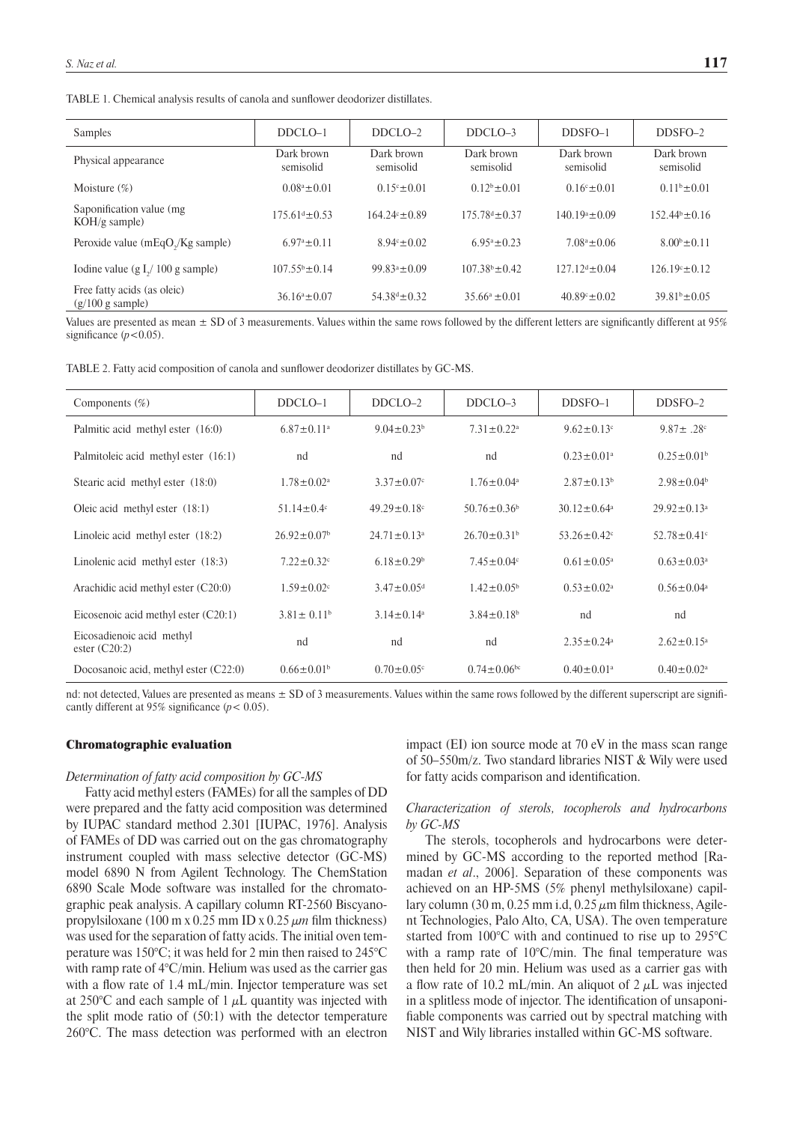|  |  |  | TABLE 1. Chemical analysis results of canola and sunflower deodorizer distillates. |  |
|--|--|--|------------------------------------------------------------------------------------|--|
|  |  |  |                                                                                    |  |

| <b>Samples</b>                                            | DDCLO-1                 | $DDCLO-2$               | DDCLO-3                  | DDSFO-1                  | DDSFO-2                 |
|-----------------------------------------------------------|-------------------------|-------------------------|--------------------------|--------------------------|-------------------------|
| Physical appearance                                       | Dark brown<br>semisolid | Dark brown<br>semisolid | Dark brown<br>semisolid  | Dark brown<br>semisolid  | Dark brown<br>semisolid |
| Moisture $(\%)$                                           | $0.08^a \pm 0.01$       | $0.15^{\circ} \pm 0.01$ | $0.12^b \pm 0.01$        | $0.16^{\circ} \pm 0.01$  | $0.11^b \pm 0.01$       |
| Saponification value (mg)<br>$KOH/g$ sample)              | $175.61d \pm 0.53$      | $164.24c \pm 0.89$      | $175.78^{d} \pm 0.37$    | $140.19^a \pm 0.09$      | $152.44b \pm 0.16$      |
| Peroxide value (mEqO <sub>2</sub> /Kg sample)             | $6.97^{\circ} \pm 0.11$ | $8.94^{\circ} \pm 0.02$ | $6.95^a \pm 0.23$        | $7.08^a \pm 0.06$        | $8.00b \pm 0.11$        |
| Iodine value (g I $/$ 100 g sample)                       | $107.55b \pm 0.14$      | $99.83a \pm 0.09$       | $107.38^b \pm 0.42$      | $127.12^{d} \pm 0.04$    | $126.19e \pm 0.12$      |
| Free fatty acids (as oleic)<br>$(g/100 g \text{ sample})$ | $36.16^a \pm 0.07$      | $54.38^{d} \pm 0.32$    | $35.66^{\circ} \pm 0.01$ | $40.89^{\circ} \pm 0.02$ | $39.81b \pm 0.05$       |

Values are presented as mean  $\pm$  SD of 3 measurements. Values within the same rows followed by the different letters are significantly different at 95% significance  $(p<0.05)$ .

TABLE 2. Fatty acid composition of canola and sunflower deodorizer distillates by GC-MS.

| Components $(\%)$                            | DDCLO-1                      | DDCLO-2                       | DDCLO-3                       | DDSFO-1                       | DDSFO-2                       |
|----------------------------------------------|------------------------------|-------------------------------|-------------------------------|-------------------------------|-------------------------------|
| Palmitic acid methyl ester (16:0)            | $6.87 \pm 0.11$ <sup>a</sup> | $9.04 \pm 0.23$ <sup>b</sup>  | $7.31 \pm 0.22^{\text{a}}$    | $9.62 \pm 0.13$ °             | 9.87 $\pm$ .28°               |
| Palmitoleic acid methyl ester (16:1)         | nd                           | nd                            | nd                            | $0.23 \pm 0.01$ <sup>a</sup>  | $0.25 \pm 0.01^b$             |
| Stearic acid methyl ester (18:0)             | $1.78 \pm 0.02^{\text{a}}$   | $3.37 \pm 0.07$ °             | $1.76 \pm 0.04$ <sup>a</sup>  | $2.87 \pm 0.13^b$             | $2.98 \pm 0.04^b$             |
| Oleic acid methyl ester $(18.1)$             | $51.14 \pm 0.4$ °            | $49.29 \pm 0.18$ <sup>c</sup> | $50.76 \pm 0.36^b$            | $30.12 \pm 0.64$ <sup>a</sup> | $29.92 \pm 0.13$ <sup>a</sup> |
| Linoleic acid methyl ester (18:2)            | $26.92 \pm 0.07^{\circ}$     | $24.71 \pm 0.13$ <sup>a</sup> | $26.70 \pm 0.31^b$            | $53.26 \pm 0.42$              | $52.78 \pm 0.41$ °            |
| Linolenic acid methyl ester (18:3)           | $7.22 \pm 0.32$ <sup>c</sup> | $6.18 \pm 0.29$ <sup>b</sup>  | $7.45 \pm 0.04$ c             | $0.61 \pm 0.05^{\text{a}}$    | $0.63 \pm 0.03^a$             |
| Arachidic acid methyl ester (C20:0)          | $1.59 \pm 0.02$ <sup>c</sup> | $3.47 \pm 0.05$ <sup>d</sup>  | $1.42 \pm 0.05^b$             | $0.53 \pm 0.02^a$             | $0.56 \pm 0.04$ <sup>a</sup>  |
| Eicosenoic acid methyl ester $(C20:1)$       | $3.81 \pm 0.11^b$            | $3.14 \pm 0.14$ <sup>a</sup>  | $3.84 \pm 0.18$ <sup>b</sup>  | nd                            | nd                            |
| Eicosadienoic acid methyl<br>ester $(C20:2)$ | nd                           | nd                            | nd                            | $2.35 \pm 0.24$ <sup>a</sup>  | $2.62 \pm 0.15$ <sup>a</sup>  |
| Docosanoic acid, methyl ester $(C22:0)$      | $0.66 \pm 0.01$ <sup>b</sup> | $0.70 \pm 0.05$ <sup>c</sup>  | $0.74 \pm 0.06$ <sup>bc</sup> | $0.40 \pm 0.01$ <sup>a</sup>  | $0.40 \pm 0.02^a$             |

nd: not detected, Values are presented as means  $\pm$  SD of 3 measurements. Values within the same rows followed by the different superscript are significantly different at 95% significance (*p<* 0.05).

#### Chromatographic evaluation

#### *Determination of fatty acid composition by GC-MS*

Fatty acid methyl esters (FAMEs) for all the samples of DD were prepared and the fatty acid composition was determined by IUPAC standard method 2.301 [IUPAC, 1976]. Analysis of FAMEs of DD was carried out on the gas chromatography instrument coupled with mass selective detector (GC-MS) model 6890 N from Agilent Technology. The ChemStation 6890 Scale Mode software was installed for the chromatographic peak analysis. A capillary column RT-2560 Biscyanopropylsiloxane (100 m x 0.25 mm ID x 0.25  $\mu$ *m* film thickness) was used for the separation of fatty acids. The initial oven temperature was 150°C; it was held for 2 min then raised to 245°C with ramp rate of 4°C/min. Helium was used as the carrier gas with a flow rate of 1.4 mL/min. Injector temperature was set at 250 $\degree$ C and each sample of 1  $\mu$ L quantity was injected with the split mode ratio of (50:1) with the detector temperature 260°C. The mass detection was performed with an electron impact (EI) ion source mode at 70 eV in the mass scan range of 50–550m/z. Two standard libraries NIST & Wily were used for fatty acids comparison and identification.

# *Characterization of sterols, tocopherols and hydrocarbons by GC-MS*

The sterols, tocopherols and hydrocarbons were determined by GC-MS according to the reported method [Ramadan *et al*., 2006]. Separation of these components was achieved on an HP-5MS (5% phenyl methylsiloxane) capillary column (30 m, 0.25 mm i.d, 0.25  $\mu$ m film thickness, Agilent Technologies, Palo Alto, CA, USA). The oven temperature started from 100°C with and continued to rise up to 295°C with a ramp rate of  $10^{\circ}$ C/min. The final temperature was then held for 20 min. Helium was used as a carrier gas with a flow rate of 10.2 mL/min. An aliquot of  $2 \mu L$  was injected in a splitless mode of injector. The identification of unsaponifiable components was carried out by spectral matching with NIST and Wily libraries installed within GC-MS software.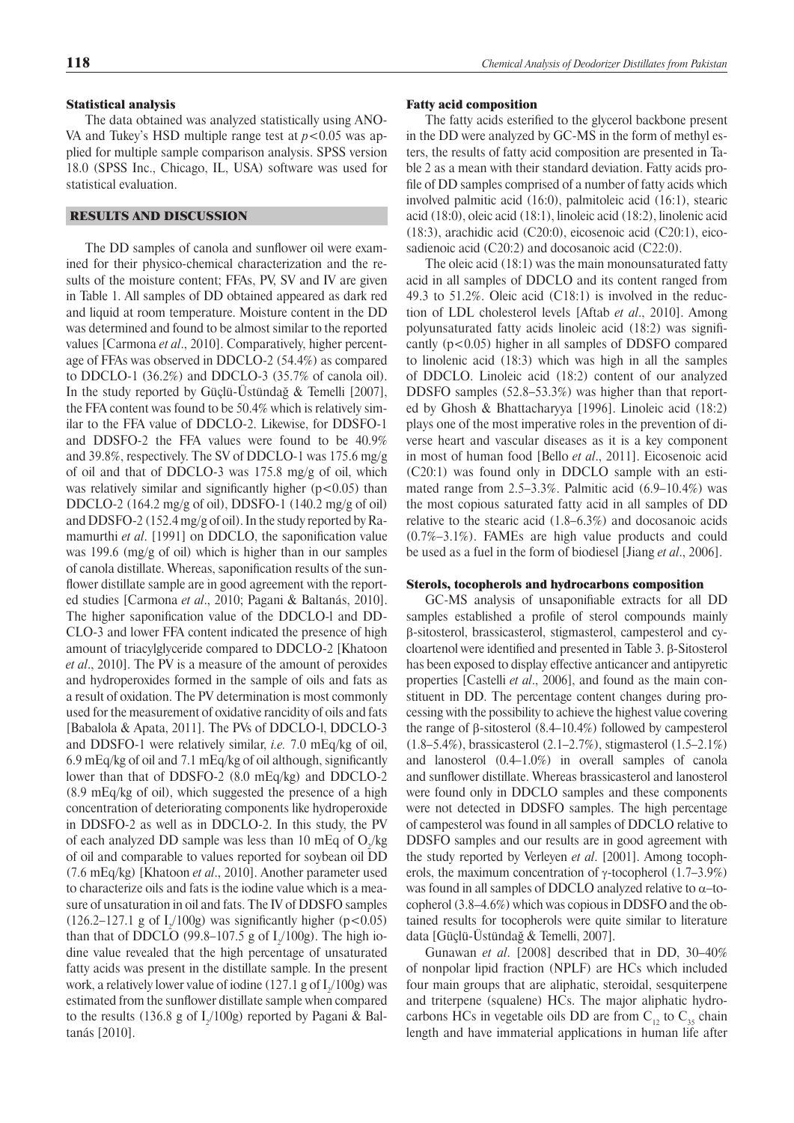## Statistical analysis

The data obtained was analyzed statistically using ANO-VA and Tukey's HSD multiple range test at  $p < 0.05$  was applied for multiple sample comparison analysis. SPSS version 18.0 (SPSS Inc., Chicago, IL, USA) software was used for statistical evaluation.

### RESULTS AND DISCUSSION

The DD samples of canola and sunflower oil were examined for their physico-chemical characterization and the results of the moisture content; FFAs, PV, SV and IV are given in Table 1. All samples of DD obtained appeared as dark red and liquid at room temperature. Moisture content in the DD was determined and found to be almost similar to the reported values [Carmona *et al*., 2010]. Comparatively, higher percentage of FFAs was observed in DDCLO-2 (54.4%) as compared to DDCLO-1 (36.2%) and DDCLO-3 (35.7% of canola oil). In the study reported by Güçlü-Üstündağ & Temelli [2007], the FFA content was found to be 50.4% which is relatively similar to the FFA value of DDCLO-2. Likewise, for DDSFO-1 and DDSFO-2 the FFA values were found to be 40.9% and 39.8%, respectively. The SV of DDCLO-1 was 175.6 mg/g of oil and that of DDCLO-3 was 175.8 mg/g of oil, which was relatively similar and significantly higher  $(p<0.05)$  than DDCLO-2 (164.2 mg/g of oil), DDSFO-1 (140.2 mg/g of oil) and DDSFO-2 (152.4 mg/g of oil). In the study reported by Ramamurthi *et al.* [1991] on DDCLO, the saponification value was 199.6 (mg/g of oil) which is higher than in our samples of canola distillate. Whereas, saponification results of the sunflower distillate sample are in good agreement with the reported studies [Carmona *et al*., 2010; Pagani & Baltanás, 2010]. The higher saponification value of the DDCLO-l and DD-CLO-3 and lower FFA content indicated the presence of high amount of triacylglyceride compared to DDCLO-2 [Khatoon *et al*., 2010]. The PV is a measure of the amount of peroxides and hydroperoxides formed in the sample of oils and fats as a result of oxidation. The PV determination is most commonly used for the measurement of oxidative rancidity of oils and fats [Babalola & Apata, 2011]. The PVs of DDCLO-l, DDCLO-3 and DDSFO-1 were relatively similar, *i.e.* 7.0 mEq/kg of oil, 6.9 mEq/kg of oil and 7.1 mEq/kg of oil although, significantly lower than that of DDSFO-2 (8.0 mEq/kg) and DDCLO-2 (8.9 mEq/kg of oil), which suggested the presence of a high concentration of deteriorating components like hydroperoxide in DDSFO-2 as well as in DDCLO-2. In this study, the PV of each analyzed DD sample was less than 10 mEq of  $O_2$ /kg of oil and comparable to values reported for soybean oil DD (7.6 mEq/kg) [Khatoon *et al*., 2010]. Another parameter used to characterize oils and fats is the iodine value which is a measure of unsaturation in oil and fats. The IV of DDSFO samples  $(126.2-127.1 \text{ g of } I_2/100 \text{g})$  was significantly higher (p<0.05) than that of DDCLO (99.8–107.5 g of  $I_2/100g$ ). The high iodine value revealed that the high percentage of unsaturated fatty acids was present in the distillate sample. In the present work, a relatively lower value of iodine  $(127.1 \text{ g of } I_{2}/100 \text{ g})$  was estimated from the sunflower distillate sample when compared to the results (136.8 g of  $I_2/100g$ ) reported by Pagani & Baltanás [2010].

### Fatty acid composition

The fatty acids esterified to the glycerol backbone present in the DD were analyzed by GC-MS in the form of methyl esters, the results of fatty acid composition are presented in Table 2 as a mean with their standard deviation. Fatty acids profile of DD samples comprised of a number of fatty acids which involved palmitic acid (16:0), palmitoleic acid (16:1), stearic acid (18:0), oleic acid (18:1), linoleic acid (18:2), linolenic acid (18:3), arachidic acid (C20:0), eicosenoic acid (C20:1), eicosadienoic acid (C20:2) and docosanoic acid (C22:0).

The oleic acid (18:1) was the main monounsaturated fatty acid in all samples of DDCLO and its content ranged from 49.3 to 51.2%. Oleic acid (C18:1) is involved in the reduction of LDL cholesterol levels [Aftab *et al*., 2010]. Among polyunsaturated fatty acids linoleic acid (18:2) was significantly  $(p<0.05)$  higher in all samples of DDSFO compared to linolenic acid (18:3) which was high in all the samples of DDCLO. Linoleic acid (18:2) content of our analyzed DDSFO samples (52.8–53.3%) was higher than that reported by Ghosh & Bhattacharyya [1996]. Linoleic acid (18:2) plays one of the most imperative roles in the prevention of diverse heart and vascular diseases as it is a key component in most of human food [Bello *et al*., 2011]. Eicosenoic acid (C20:1) was found only in DDCLO sample with an estimated range from 2.5–3.3%. Palmitic acid (6.9–10.4%) was the most copious saturated fatty acid in all samples of DD relative to the stearic acid (1.8–6.3%) and docosanoic acids (0.7%–3.1%). FAMEs are high value products and could be used as a fuel in the form of biodiesel [Jiang *et al*., 2006].

#### Sterols, tocopherols and hydrocarbons composition

GC-MS analysis of unsaponifiable extracts for all DD samples established a profile of sterol compounds mainly -sitosterol, brassicasterol, stigmasterol, campesterol and cycloartenol were identified and presented in Table 3.  $\beta$ -Sitosterol has been exposed to display effective anticancer and antipyretic properties [Castelli *et al*., 2006], and found as the main constituent in DD. The percentage content changes during processing with the possibility to achieve the highest value covering the range of  $\beta$ -sitosterol (8.4–10.4%) followed by campesterol (1.8–5.4%), brassicasterol (2.1–2.7%), stigmasterol (1.5–2.1%) and lanosterol (0.4–1.0%) in overall samples of canola and sunflower distillate. Whereas brassicasterol and lanosterol were found only in DDCLO samples and these components were not detected in DDSFO samples. The high percentage of campesterol was found in all samples of DDCLO relative to DDSFO samples and our results are in good agreement with the study reported by Verleyen *et al*. [2001]. Among tocopherols, the maximum concentration of  $\gamma$ -tocopherol (1.7–3.9%) was found in all samples of DDCLO analyzed relative to  $\alpha$ -tocopherol (3.8–4.6%) which was copious in DDSFO and the obtained results for tocopherols were quite similar to literature data [Güçlü-Üstündağ & Temelli, 2007].

Gunawan *et al*. [2008] described that in DD, 30–40% of nonpolar lipid fraction (NPLF) are HCs which included four main groups that are aliphatic, steroidal, sesquiterpene and triterpene (squalene) HCs. The major aliphatic hydrocarbons HCs in vegetable oils DD are from  $C_{12}$  to  $C_{35}$  chain length and have immaterial applications in human life after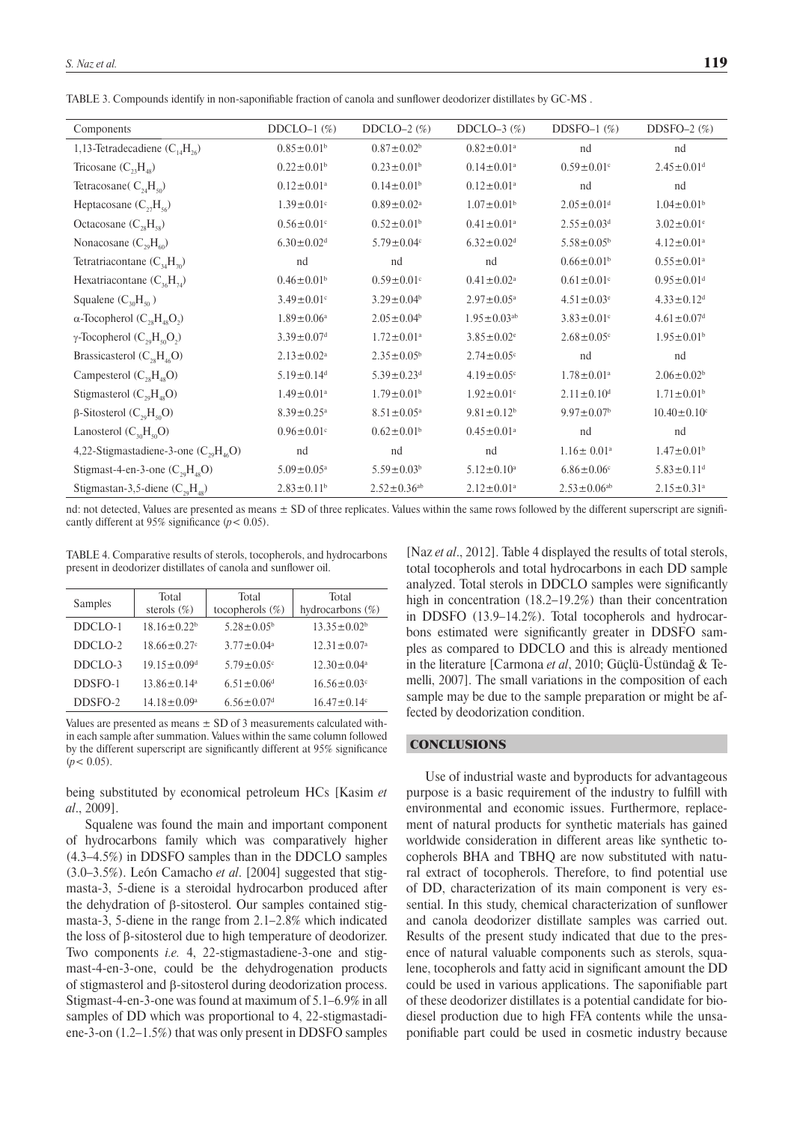TABLE 3. Compounds identify in non-saponifiable fraction of canola and sunflower deodorizer distillates by GC-MS .

| Components                                                             | DDCLO-1 $(\%)$               | DDCLO-2 $(\%)$                | DDCLO-3 $(\%)$                | DDSFO-1 $(\%)$                | DDSFO-2 $(\%)$                |
|------------------------------------------------------------------------|------------------------------|-------------------------------|-------------------------------|-------------------------------|-------------------------------|
| 1,13-Tetradecadiene $(C_{14}H_{26})$                                   | $0.85 \pm 0.01$ <sup>b</sup> | $0.87\pm0.02^{\rm b}$         | $0.82 \pm 0.01$ <sup>a</sup>  | nd                            | nd                            |
| Tricosane $(C_{2,1}H_{48})$                                            | $0.22 \pm 0.01$ <sup>b</sup> | $0.23 \pm 0.01$ <sup>b</sup>  | $0.14 \pm 0.01$ <sup>a</sup>  | $0.59 \pm 0.01$ c             | $2.45 \pm 0.01$ <sup>d</sup>  |
| Tetracosane( $C_{24}H_{50}$ )                                          | $0.12 \pm 0.01$ <sup>a</sup> | $0.14 \pm 0.01$ <sup>b</sup>  | $0.12 \pm 0.01$ <sup>a</sup>  | nd                            | nd                            |
| Heptacosane $(C_{27}H_{56})$                                           | $1.39 \pm 0.01$ c            | $0.89 \pm 0.02$ <sup>a</sup>  | $1.07 \pm 0.01$ <sup>b</sup>  | $2.05 \pm 0.01$ <sup>d</sup>  | $1.04 \pm 0.01$ <sup>b</sup>  |
| Octacosane $(C_{28}H_{58})$                                            | $0.56 \pm 0.01$ <sup>c</sup> | $0.52 \pm 0.01$ <sup>b</sup>  | $0.41 \pm 0.01$ <sup>a</sup>  | $2.55 \pm 0.03$ <sup>d</sup>  | $3.02 \pm 0.01$ <sup>e</sup>  |
| Nonacosane $(C_{29}H_{60})$                                            | $6.30 \pm 0.02$ <sup>d</sup> | $5.79 \pm 0.04$ c             | $6.32 \pm 0.02$ <sup>d</sup>  | $5.58 \pm 0.05^{\rm b}$       | $4.12 \pm 0.01$ <sup>a</sup>  |
| Tetratriacontane $(C_{34}H_{70})$                                      | nd                           | nd                            | nd                            | $0.66 \pm 0.01$ <sup>b</sup>  | $0.55 \pm 0.01$ <sup>a</sup>  |
| Hexatriacontane $(C_{36}H_{74})$                                       | $0.46 \pm 0.01$ <sup>b</sup> | $0.59 \pm 0.01$ c             | $0.41 \pm 0.02^a$             | $0.61 \pm 0.01$ <sup>c</sup>  | $0.95 \pm 0.01$ <sup>d</sup>  |
| Squalene $(C_{30}H_{50})$                                              | $3.49 \pm 0.01$ c            | $3.29 \pm 0.04$ <sup>b</sup>  | $2.97 \pm 0.05^{\text{a}}$    | $4.51 \pm 0.03$ <sup>e</sup>  | $4.33 \pm 0.12$ <sup>d</sup>  |
| $\alpha$ -Tocopherol (C <sub>28</sub> H <sub>48</sub> O <sub>2</sub> ) | $1.89 \pm 0.06^a$            | $2.05 \pm 0.04$ <sup>b</sup>  | $1.95 \pm 0.03$ <sup>ab</sup> | $3.83 \pm 0.01$ c             | $4.61 \pm 0.07$ <sup>d</sup>  |
| $\gamma$ -Tocopherol (C <sub>29</sub> H <sub>50</sub> O <sub>2</sub> ) | $3.39 \pm 0.07$ <sup>d</sup> | $1.72 \pm 0.01$ <sup>a</sup>  | $3.85 \pm 0.02$ <sup>e</sup>  | $2.68 \pm 0.05$ °             | $1.95 \pm 0.01$ <sup>b</sup>  |
| Brassicasterol $(C_{28}H_{46}O)$                                       | $2.13 \pm 0.02^a$            | $2.35 \pm 0.05^b$             | $2.74 \pm 0.05$ c             | nd                            | nd                            |
| Campesterol $(C_{28}H_{48}O)$                                          | $5.19 \pm 0.14$ <sup>d</sup> | $5.39 \pm 0.23$ <sup>d</sup>  | $4.19 \pm 0.05$ <sup>c</sup>  | $1.78 \pm 0.01$ <sup>a</sup>  | $2.06 \pm 0.02$ <sup>b</sup>  |
| Stigmasterol $(C_{20}H_{48}O)$                                         | $1.49 \pm 0.01$ <sup>a</sup> | $1.79 \pm 0.01^b$             | $1.92 \pm 0.01$ <sup>c</sup>  | $2.11 \pm 0.10$ <sup>d</sup>  | $1.71 \pm 0.01^b$             |
| $\beta$ -Sitosterol (C <sub>20</sub> H <sub>50</sub> O)                | $8.39 \pm 0.25$ <sup>a</sup> | $8.51 \pm 0.05^{\text{a}}$    | $9.81 \pm 0.12$ <sup>b</sup>  | $9.97 \pm 0.07$ <sup>b</sup>  | $10.40 \pm 0.10$ <sup>c</sup> |
| Lanosterol $(C_{30}H_{50}O)$                                           | $0.96 \pm 0.01$ c            | $0.62 \pm 0.01$ <sup>b</sup>  | $0.45 \pm 0.01$ <sup>a</sup>  | nd                            | nd                            |
| 4,22-Stigmastadiene-3-one $(C_{29}H_{46}O)$                            | nd                           | nd                            | nd                            | $1.16 \pm 0.01^a$             | $1.47 \pm 0.01^b$             |
| Stigmast-4-en-3-one $(C_{29}H_{48}O)$                                  | $5.09 \pm 0.05^{\text{a}}$   | $5.59 \pm 0.03^b$             | $5.12 \pm 0.10^a$             | $6.86 \pm 0.06$ c             | $5.83 \pm 0.11$ <sup>d</sup>  |
| Stigmastan-3,5-diene $(C_{20}H_{48})$                                  | $2.83 \pm 0.11$ <sup>b</sup> | $2.52 \pm 0.36$ <sup>ab</sup> | $2.12 \pm 0.01$ <sup>a</sup>  | $2.53 \pm 0.06$ <sup>ab</sup> | $2.15 \pm 0.31$ <sup>a</sup>  |

nd: not detected, Values are presented as means  $\pm$  SD of three replicates. Values within the same rows followed by the different superscript are significantly different at 95% significance (*p<* 0.05).

TABLE 4. Comparative results of sterols, tocopherols, and hydrocarbons present in deodorizer distillates of canola and sunflower oil.

| Samples | Total<br>sterols $(\%)$       | Total<br>tocopherols $(\%)$  | Total<br>hydrocarbons $(\%)$  |
|---------|-------------------------------|------------------------------|-------------------------------|
| DDCLO-1 | $18.16 \pm 0.22^b$            | $5.28 \pm 0.05^{\circ}$      | $13.35 \pm 0.02^b$            |
| DDCLO-2 | $18.66 \pm 0.27$ <sup>c</sup> | $3.77 \pm 0.04^a$            | $12.31 \pm 0.07^{\circ}$      |
| DDCLO-3 | $19.15 \pm 0.09$ <sup>d</sup> | $5.79 \pm 0.05$ <sup>c</sup> | $12.30 \pm 0.04^a$            |
| DDSFO-1 | $13.86 \pm 0.14^a$            | $6.51 \pm 0.06$ <sup>d</sup> | $16.56 \pm 0.03$ <sup>c</sup> |
| DDSFO-2 | $14.18 \pm 0.09^a$            | $6.56 \pm 0.07$ <sup>d</sup> | $16.47 \pm 0.14$ c            |

Values are presented as means  $+$  SD of 3 measurements calculated within each sample after summation. Values within the same column followed by the different superscript are significantly different at 95% significance  $(p < 0.05)$ .

being substituted by economical petroleum HCs [Kasim *et al*., 2009].

Squalene was found the main and important component of hydrocarbons family which was comparatively higher (4.3–4.5%) in DDSFO samples than in the DDCLO samples (3.0–3.5%). León Camacho *et al*. [2004] suggested that stigmasta-3, 5-diene is a steroidal hydrocarbon produced after the dehydration of  $\beta$ -sitosterol. Our samples contained stigmasta-3, 5-diene in the range from 2.1–2.8% which indicated the loss of  $\beta$ -sitosterol due to high temperature of deodorizer. Two components *i.e.* 4, 22-stigmastadiene-3-one and stigmast-4-en-3-one, could be the dehydrogenation products of stigmasterol and  $\beta$ -sitosterol during deodorization process. Stigmast-4-en-3-one was found at maximum of 5.1–6.9% in all samples of DD which was proportional to 4, 22-stigmastadiene-3-on (1.2–1.5%) that was only present in DDSFO samples

[Naz *et al*., 2012]. Table 4 displayed the results of total sterols, total tocopherols and total hydrocarbons in each DD sample analyzed. Total sterols in DDCLO samples were significantly high in concentration (18.2–19.2%) than their concentration in DDSFO (13.9–14.2%). Total tocopherols and hydrocarbons estimated were significantly greater in DDSFO samples as compared to DDCLO and this is already mentioned in the literature [Carmona *et al*, 2010; Güçlü-Üstündağ & Temelli, 2007]. The small variations in the composition of each sample may be due to the sample preparation or might be affected by deodorization condition.

### **CONCLUSIONS**

Use of industrial waste and byproducts for advantageous purpose is a basic requirement of the industry to fulfill with environmental and economic issues. Furthermore, replacement of natural products for synthetic materials has gained worldwide consideration in different areas like synthetic tocopherols BHA and TBHQ are now substituted with natural extract of tocopherols. Therefore, to find potential use of DD, characterization of its main component is very essential. In this study, chemical characterization of sunflower and canola deodorizer distillate samples was carried out. Results of the present study indicated that due to the presence of natural valuable components such as sterols, squalene, tocopherols and fatty acid in significant amount the DD could be used in various applications. The saponifiable part of these deodorizer distillates is a potential candidate for biodiesel production due to high FFA contents while the unsaponifiable part could be used in cosmetic industry because